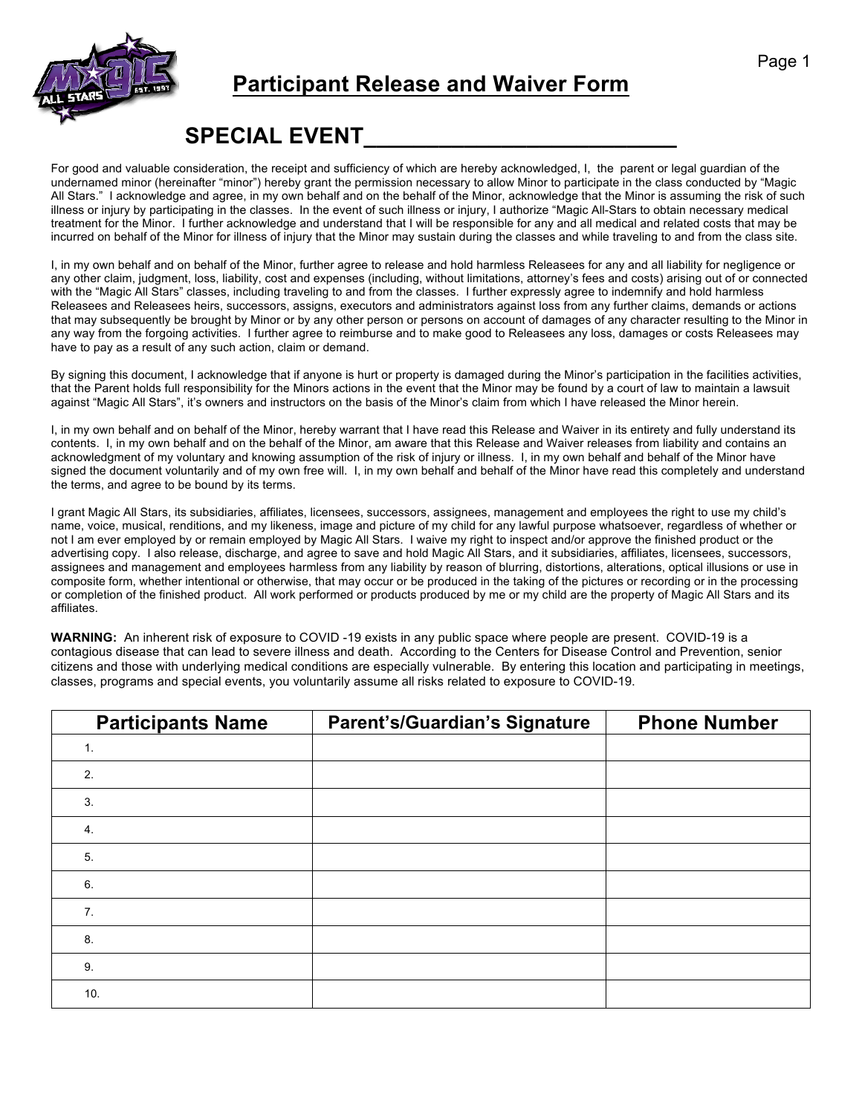

## **Participant Release and Waiver Form**

## **SPECIAL EVENT\_\_\_\_\_\_\_\_\_\_\_\_\_\_\_\_\_\_\_\_\_\_\_\_\_**

For good and valuable consideration, the receipt and sufficiency of which are hereby acknowledged, I, the parent or legal guardian of the undernamed minor (hereinafter "minor") hereby grant the permission necessary to allow Minor to participate in the class conducted by "Magic All Stars." I acknowledge and agree, in my own behalf and on the behalf of the Minor, acknowledge that the Minor is assuming the risk of such illness or injury by participating in the classes. In the event of such illness or injury, I authorize "Magic All-Stars to obtain necessary medical treatment for the Minor. I further acknowledge and understand that I will be responsible for any and all medical and related costs that may be incurred on behalf of the Minor for illness of injury that the Minor may sustain during the classes and while traveling to and from the class site.

I, in my own behalf and on behalf of the Minor, further agree to release and hold harmless Releasees for any and all liability for negligence or any other claim, judgment, loss, liability, cost and expenses (including, without limitations, attorney's fees and costs) arising out of or connected with the "Magic All Stars" classes, including traveling to and from the classes. I further expressly agree to indemnify and hold harmless Releasees and Releasees heirs, successors, assigns, executors and administrators against loss from any further claims, demands or actions that may subsequently be brought by Minor or by any other person or persons on account of damages of any character resulting to the Minor in any way from the forgoing activities. I further agree to reimburse and to make good to Releasees any loss, damages or costs Releasees may have to pay as a result of any such action, claim or demand.

By signing this document, I acknowledge that if anyone is hurt or property is damaged during the Minor's participation in the facilities activities, that the Parent holds full responsibility for the Minors actions in the event that the Minor may be found by a court of law to maintain a lawsuit against "Magic All Stars", it's owners and instructors on the basis of the Minor's claim from which I have released the Minor herein.

I, in my own behalf and on behalf of the Minor, hereby warrant that I have read this Release and Waiver in its entirety and fully understand its contents. I, in my own behalf and on the behalf of the Minor, am aware that this Release and Waiver releases from liability and contains an acknowledgment of my voluntary and knowing assumption of the risk of injury or illness. I, in my own behalf and behalf of the Minor have signed the document voluntarily and of my own free will. I, in my own behalf and behalf of the Minor have read this completely and understand the terms, and agree to be bound by its terms.

I grant Magic All Stars, its subsidiaries, affiliates, licensees, successors, assignees, management and employees the right to use my child's name, voice, musical, renditions, and my likeness, image and picture of my child for any lawful purpose whatsoever, regardless of whether or not I am ever employed by or remain employed by Magic All Stars. I waive my right to inspect and/or approve the finished product or the advertising copy. I also release, discharge, and agree to save and hold Magic All Stars, and it subsidiaries, affiliates, licensees, successors, assignees and management and employees harmless from any liability by reason of blurring, distortions, alterations, optical illusions or use in composite form, whether intentional or otherwise, that may occur or be produced in the taking of the pictures or recording or in the processing or completion of the finished product. All work performed or products produced by me or my child are the property of Magic All Stars and its affiliates.

**WARNING:** An inherent risk of exposure to COVID -19 exists in any public space where people are present. COVID-19 is a contagious disease that can lead to severe illness and death. According to the Centers for Disease Control and Prevention, senior citizens and those with underlying medical conditions are especially vulnerable. By entering this location and participating in meetings, classes, programs and special events, you voluntarily assume all risks related to exposure to COVID-19.

| <b>Participants Name</b> | <b>Parent's/Guardian's Signature</b> | <b>Phone Number</b> |
|--------------------------|--------------------------------------|---------------------|
| $\mathbf{1}$ .           |                                      |                     |
| 2.                       |                                      |                     |
| 3.                       |                                      |                     |
| 4.                       |                                      |                     |
| 5.                       |                                      |                     |
| 6.                       |                                      |                     |
| 7.                       |                                      |                     |
| 8.                       |                                      |                     |
| 9.                       |                                      |                     |
| 10.                      |                                      |                     |